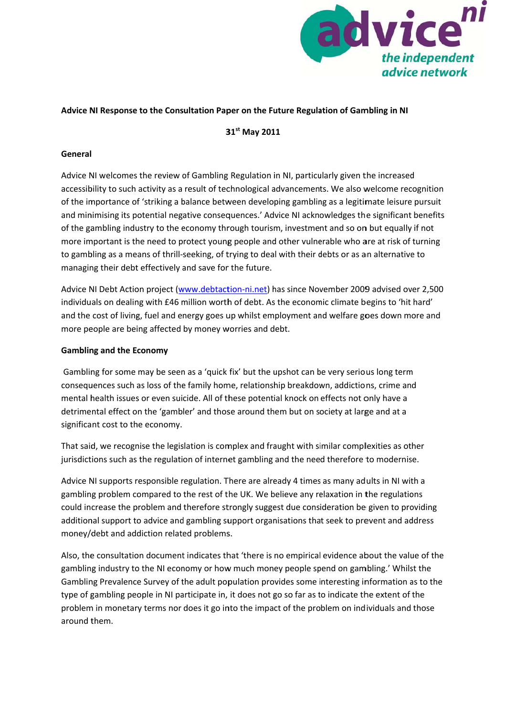

#### Advice NI Response to the Consultation Paper on the Future Regulation of Gambling in NI

31st May 2011

#### General

Advice NI welcomes the review of Gambling Regulation in NI, particularly given the increased accessibility to such activity as a result of technological advancements. We also welcome recognition of the importance of 'striking a balance between developing gambling as a legitimate leisure pursuit and minimising its potential negative consequences.' Advice NI acknowledges the significant benefits of the gambling industry to the economy through tourism, investment and so on but equally if not more important is the need to protect young people and other vulnerable who are at risk of turning to gambling as a means of thrill-seeking, of trying to deal with their debts or as an alternative to managing their debt effectively and save for the future.

Advice NI Debt Action project (www.debtaction-ni.net) has since November 2009 advised over 2,500 individuals on dealing with £46 million worth of debt. As the economic climate begins to 'hit hard' and the cost of living, fuel and energy goes up whilst employment and welfare goes down more and more people are being affected by money worries and debt.

### **Gambling and the Economy**

Gambling for some may be seen as a 'quick fix' but the upshot can be very serious long term consequences such as loss of the family home, relationship breakdown, addictions, crime and mental health issues or even suicide. All of these potential knock on effects not only have a detrimental effect on the 'gambler' and those around them but on society at large and at a significant cost to the economy.

That said, we recognise the legislation is complex and fraught with similar complexities as other jurisdictions such as the regulation of internet gambling and the need therefore to modernise.

Advice NI supports responsible regulation. There are already 4 times as many adults in NI with a gambling problem compared to the rest of the UK. We believe any relaxation in the regulations could increase the problem and therefore strongly suggest due consideration be given to providing additional support to advice and gambling support organisations that seek to prevent and address money/debt and addiction related problems.

Also, the consultation document indicates that 'there is no empirical evidence about the value of the gambling industry to the NI economy or how much money people spend on gambling.' Whilst the Gambling Prevalence Survey of the adult population provides some interesting information as to the type of gambling people in NI participate in, it does not go so far as to indicate the extent of the problem in monetary terms nor does it go into the impact of the problem on individuals and those around them.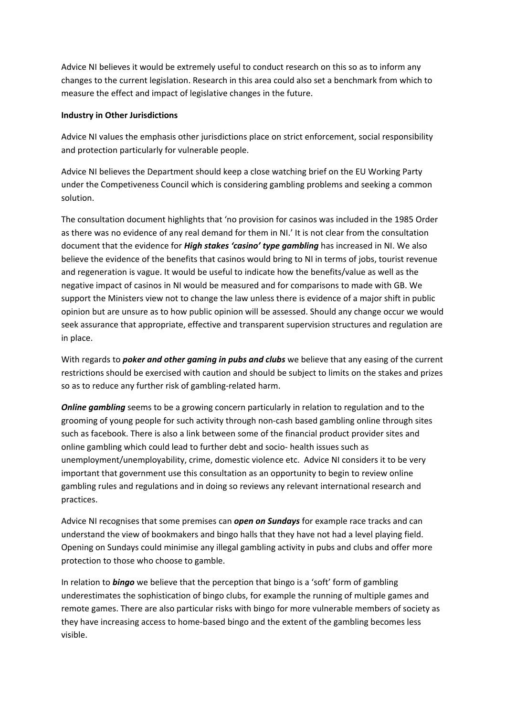Advice NI believes it would be extremely useful to conduct research on this so as to inform any changes to the current legislation. Research in this area could also set a benchmark from which to measure the effect and impact of legislative changes in the future.

### **Industry in Other Jurisdictions**

Advice NI values the emphasis other jurisdictions place on strict enforcement, social responsibility and protection particularly for vulnerable people.

Advice NI believes the Department should keep a close watching brief on the EU Working Party under the Competiveness Council which is considering gambling problems and seeking a common solution.

The consultation document highlights that 'no provision for casinos was included in the 1985 Order as there was no evidence of any real demand for them in NI.' It is not clear from the consultation document that the evidence for *High stakes 'casino' type gambling* has increased in NI. We also believe the evidence of the benefits that casinos would bring to NI in terms of jobs, tourist revenue and regeneration is vague. It would be useful to indicate how the benefits/value as well as the negative impact of casinos in NI would be measured and for comparisons to made with GB. We support the Ministers view not to change the law unless there is evidence of a major shift in public opinion but are unsure as to how public opinion will be assessed. Should any change occur we would seek assurance that appropriate, effective and transparent supervision structures and regulation are in place.

With regards to *poker and other gaming in pubs and clubs* we believe that any easing of the current restrictions should be exercised with caution and should be subject to limits on the stakes and prizes so as to reduce any further risk of gambling-related harm.

*Online gambling* seems to be a growing concern particularly in relation to regulation and to the grooming of young people for such activity through non-cash based gambling online through sites such as facebook. There is also a link between some of the financial product provider sites and online gambling which could lead to further debt and socio- health issues such as unemployment/unemployability, crime, domestic violence etc. Advice NI considers it to be very important that government use this consultation as an opportunity to begin to review online gambling rules and regulations and in doing so reviews any relevant international research and practices.

Advice NI recognises that some premises can *open on Sundays* for example race tracks and can understand the view of bookmakers and bingo halls that they have not had a level playing field. Opening on Sundays could minimise any illegal gambling activity in pubs and clubs and offer more protection to those who choose to gamble.

In relation to *bingo* we believe that the perception that bingo is a 'soft' form of gambling underestimates the sophistication of bingo clubs, for example the running of multiple games and remote games. There are also particular risks with bingo for more vulnerable members of society as they have increasing access to home-based bingo and the extent of the gambling becomes less visible.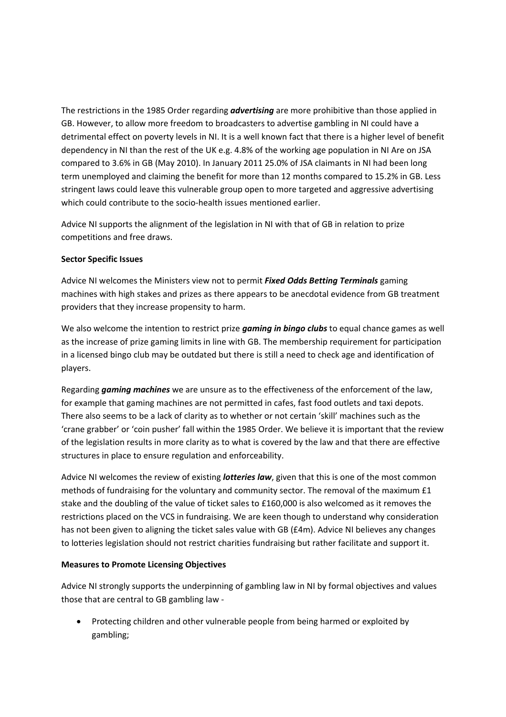The restrictions in the 1985 Order regarding *advertising* are more prohibitive than those applied in GB. However, to allow more freedom to broadcasters to advertise gambling in NI could have a detrimental effect on poverty levels in NI. It is a well known fact that there is a higher level of benefit dependency in NI than the rest of the UK e.g. 4.8% of the working age population in NI Are on JSA compared to 3.6% in GB (May 2010). In January 2011 25.0% of JSA claimants in NI had been long term unemployed and claiming the benefit for more than 12 months compared to 15.2% in GB. Less stringent laws could leave this vulnerable group open to more targeted and aggressive advertising which could contribute to the socio-health issues mentioned earlier.

Advice NI supports the alignment of the legislation in NI with that of GB in relation to prize competitions and free draws.

#### **Sector Specific Issues**

Advice NI welcomes the Ministers view not to permit *Fixed Odds Betting Terminals* gaming machines with high stakes and prizes as there appears to be anecdotal evidence from GB treatment providers that they increase propensity to harm.

We also welcome the intention to restrict prize *gaming in bingo clubs* to equal chance games as well as the increase of prize gaming limits in line with GB. The membership requirement for participation in a licensed bingo club may be outdated but there is still a need to check age and identification of players.

Regarding *gaming machines* we are unsure as to the effectiveness of the enforcement of the law, for example that gaming machines are not permitted in cafes, fast food outlets and taxi depots. There also seems to be a lack of clarity as to whether or not certain 'skill' machines such as the 'crane grabber' or 'coin pusher' fall within the 1985 Order. We believe it is important that the review of the legislation results in more clarity as to what is covered by the law and that there are effective structures in place to ensure regulation and enforceability.

Advice NI welcomes the review of existing *lotteries law*, given that this is one of the most common methods of fundraising for the voluntary and community sector. The removal of the maximum £1 stake and the doubling of the value of ticket sales to £160,000 is also welcomed as it removes the restrictions placed on the VCS in fundraising. We are keen though to understand why consideration has not been given to aligning the ticket sales value with GB (£4m). Advice NI believes any changes to lotteries legislation should not restrict charities fundraising but rather facilitate and support it.

# **Measures to Promote Licensing Objectives**

Advice NI strongly supports the underpinning of gambling law in NI by formal objectives and values those that are central to GB gambling law -

• Protecting children and other vulnerable people from being harmed or exploited by gambling;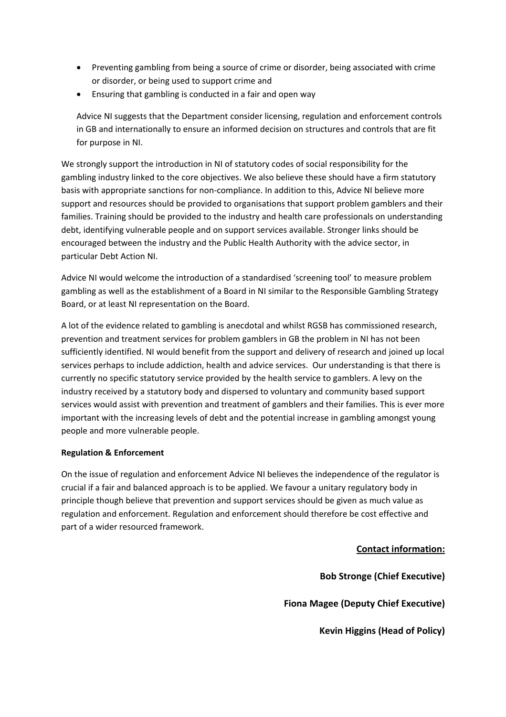- Preventing gambling from being a source of crime or disorder, being associated with crime or disorder, or being used to support crime and
- Ensuring that gambling is conducted in a fair and open way

Advice NI suggests that the Department consider licensing, regulation and enforcement controls in GB and internationally to ensure an informed decision on structures and controls that are fit for purpose in NI.

We strongly support the introduction in NI of statutory codes of social responsibility for the gambling industry linked to the core objectives. We also believe these should have a firm statutory basis with appropriate sanctions for non-compliance. In addition to this, Advice NI believe more support and resources should be provided to organisations that support problem gamblers and their families. Training should be provided to the industry and health care professionals on understanding debt, identifying vulnerable people and on support services available. Stronger links should be encouraged between the industry and the Public Health Authority with the advice sector, in particular Debt Action NI.

Advice NI would welcome the introduction of a standardised 'screening tool' to measure problem gambling as well as the establishment of a Board in NI similar to the Responsible Gambling Strategy Board, or at least NI representation on the Board.

A lot of the evidence related to gambling is anecdotal and whilst RGSB has commissioned research, prevention and treatment services for problem gamblers in GB the problem in NI has not been sufficiently identified. NI would benefit from the support and delivery of research and joined up local services perhaps to include addiction, health and advice services. Our understanding is that there is currently no specific statutory service provided by the health service to gamblers. A levy on the industry received by a statutory body and dispersed to voluntary and community based support services would assist with prevention and treatment of gamblers and their families. This is ever more important with the increasing levels of debt and the potential increase in gambling amongst young people and more vulnerable people.

# **Regulation & Enforcement**

On the issue of regulation and enforcement Advice NI believes the independence of the regulator is crucial if a fair and balanced approach is to be applied. We favour a unitary regulatory body in principle though believe that prevention and support services should be given as much value as regulation and enforcement. Regulation and enforcement should therefore be cost effective and part of a wider resourced framework.

# **Contact information:**

**Bob Stronge (Chief Executive)** 

**Fiona Magee (Deputy Chief Executive)** 

**Kevin Higgins (Head of Policy)**